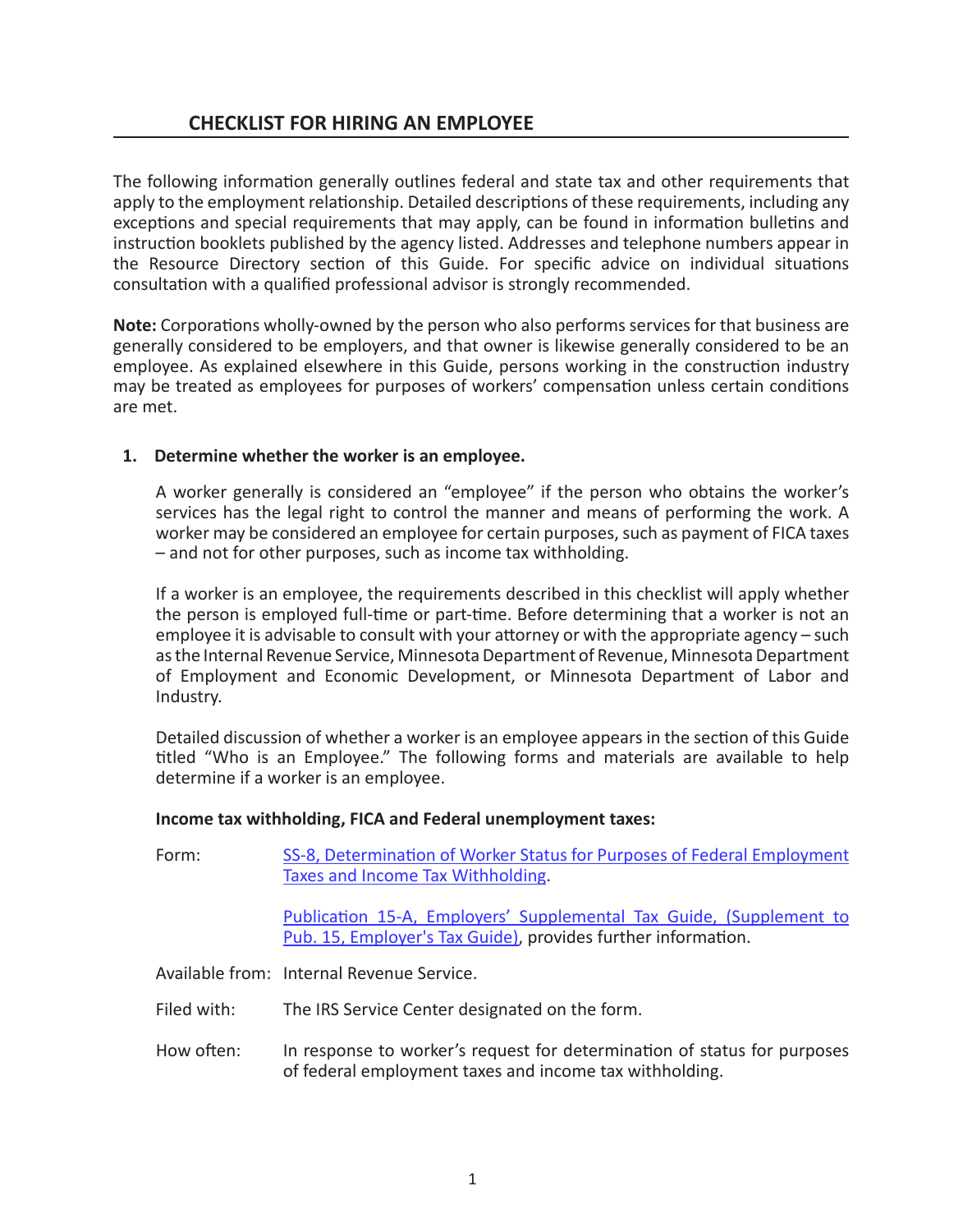# **CHECKLIST FOR HIRING AN EMPLOYEE**

The following information generally outlines federal and state tax and other requirements that apply to the employment relationship. Detailed descriptions of these requirements, including any exceptions and special requirements that may apply, can be found in information bulletins and instruction booklets published by the agency listed. Addresses and telephone numbers appear in the Resource Directory section of this Guide. For specific advice on individual situations consultation with a qualified professional advisor is strongly recommended.

**Note:** Corporations wholly-owned by the person who also performs services for that business are generally considered to be employers, and that owner is likewise generally considered to be an employee. As explained elsewhere in this Guide, persons working in the construction industry may be treated as employees for purposes of workers' compensation unless certain conditions are met.

# **1. Determine whether the worker is an employee.**

A worker generally is considered an "employee" if the person who obtains the worker's services has the legal right to control the manner and means of performing the work. A worker may be considered an employee for certain purposes, such as payment of FICA taxes – and not for other purposes, such as income tax withholding.

If a worker is an employee, the requirements described in this checklist will apply whether the person is employed full-time or part-time. Before determining that a worker is not an employee it is advisable to consult with your attorney or with the appropriate agency – such as the Internal Revenue Service, Minnesota Department of Revenue, Minnesota Department of Employment and Economic Development, or Minnesota Department of Labor and Industry.

Detailed discussion of whether a worker is an employee appears in the section of this Guide titled "Who is an Employee." The following forms and materials are available to help determine if a worker is an employee.

# **Income tax withholding, FICA and Federal unemployment taxes:**

| Form: | SS-8, Determination of Worker Status for Purposes of Federal Employment<br>Taxes and Income Tax Withholding.                         |
|-------|--------------------------------------------------------------------------------------------------------------------------------------|
|       | Publication 15-A, Employers' Supplemental Tax Guide, (Supplement to<br>Pub. 15, Employer's Tax Guide), provides further information. |
|       | Available from: Internal Revenue Service.                                                                                            |

- Filed with: The IRS Service Center designated on the form.
- How often: In response to worker's request for determination of status for purposes of federal employment taxes and income tax withholding.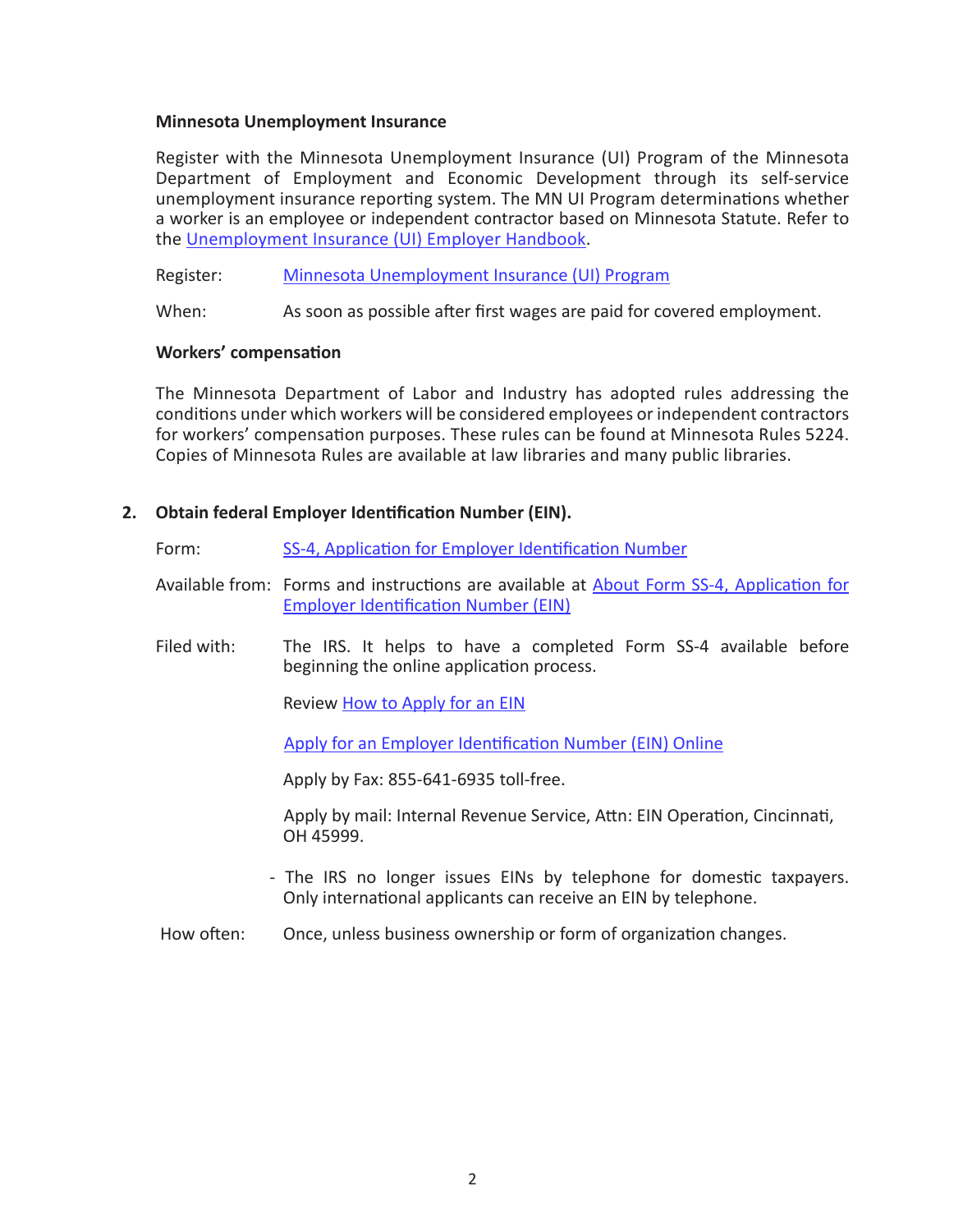#### **Minnesota Unemployment Insurance**

Register with the Minnesota Unemployment Insurance (UI) Program of the Minnesota Department of Employment and Economic Development through its self-service unemployment insurance reporting system. The MN UI Program determinations whether a worker is an employee or independent contractor based on Minnesota Statute. Refer to the [Unemployment Insurance \(UI\) Employer Handbook.](https://www.uimn.org/employers/help-and-support/emp-hbook/index.jsp)

Register: [Minnesota Unemployment Insurance \(UI\) Program](https://www.uimn.org/employers)

When: As soon as possible after first wages are paid for covered employment.

### **Workers' compensation**

The Minnesota Department of Labor and Industry has adopted rules addressing the conditions under which workers will be considered employees or independent contractors for workers' compensation purposes. These rules can be found at Minnesota Rules 5224. Copies of Minnesota Rules are available at law libraries and many public libraries.

# **2. Obtain federal Employer Identification Number (EIN).**

- Form: [SS-4, Application for Employer Identification Number](https://www.irs.gov/pub/irs-pdf/fss4.pdf)
- Available from: Forms and instructions are available at [About Form SS-4, Application for](https://www.irs.gov/forms-pubs/about-form-ss-4) [Employer Identification Number \(EIN\)](https://www.irs.gov/forms-pubs/about-form-ss-4)
- Filed with: The IRS. It helps to have a completed Form SS-4 available before beginning the online application process.

Review [How to Apply for an EIN](https://www.irs.gov/businesses/small-businesses-self-employed/how-to-apply-for-an-ein)

[Apply for an Employer Identification Number \(EIN\) Online](https://www.irs.gov/businesses/small-businesses-self-employed/apply-for-an-employer-identification-number-ein-online)

Apply by Fax: 855-641-6935 toll-free.

Apply by mail: Internal Revenue Service, Attn: EIN Operation, Cincinnati, OH 45999.

- The IRS no longer issues EINs by telephone for domestic taxpayers. Only international applicants can receive an EIN by telephone.
- How often: Once, unless business ownership or form of organization changes.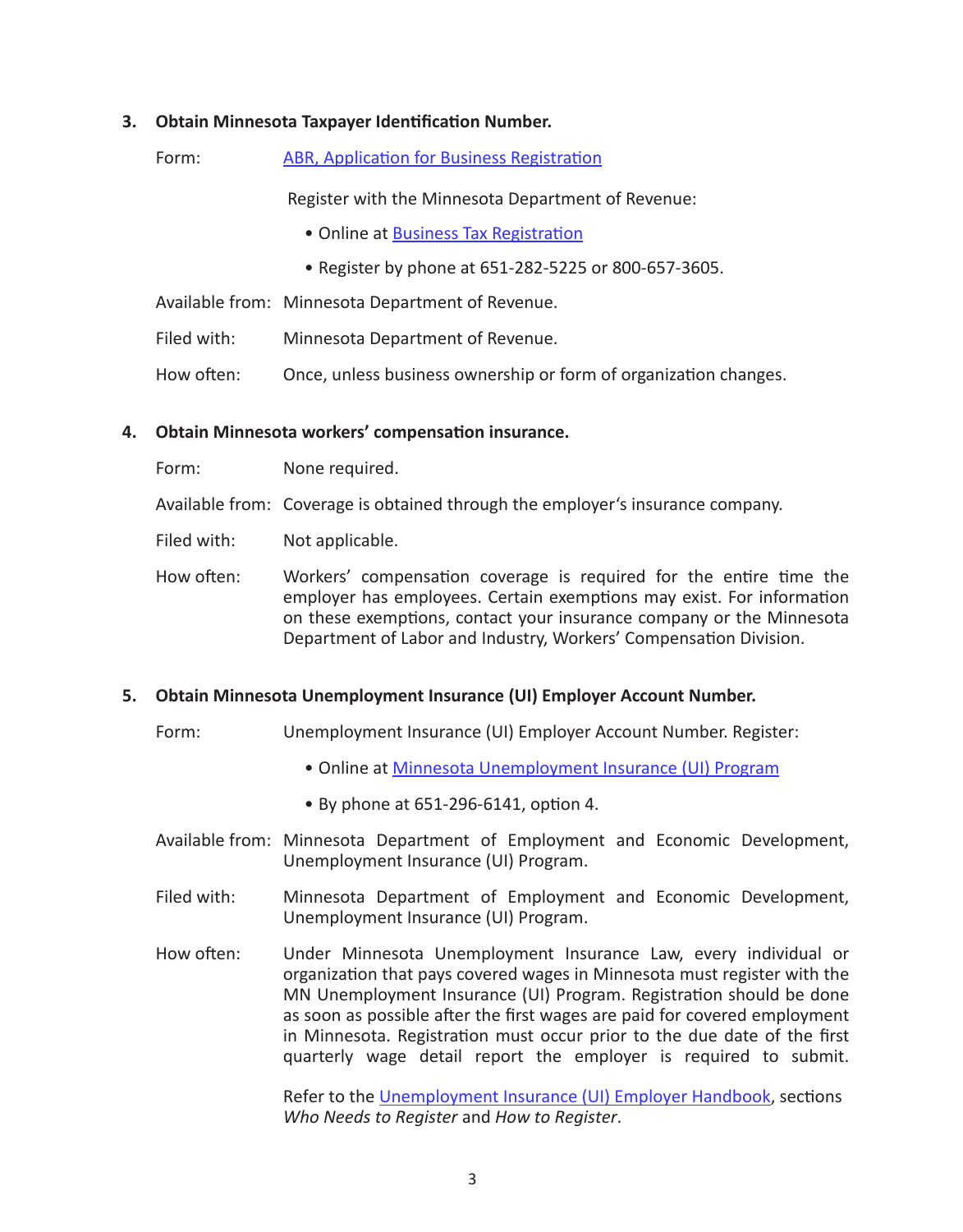### **3. Obtain Minnesota Taxpayer Identification Number.**

|--|

Register with the Minnesota Department of Revenue:

- Online at [Business Tax Registration](https://www.mndor.state.mn.us/tp/eservices/_/)
- Register by phone at 651-282-5225 or 800-657-3605.
- Available from: Minnesota Department of Revenue.
- Filed with: Minnesota Department of Revenue.
- How often: Once, unless business ownership or form of organization changes.

### **4. Obtain Minnesota workers' compensation insurance.**

- Form: None required.
- Available from: Coverage is obtained through the employer's insurance company.

Filed with: Not applicable.

How often: Workers' compensation coverage is required for the entire time the employer has employees. Certain exemptions may exist. For information on these exemptions, contact your insurance company or the Minnesota Department of Labor and Industry, Workers' Compensation Division.

# **5. Obtain Minnesota Unemployment Insurance (UI) Employer Account Number.**

- Form: Unemployment Insurance (UI) Employer Account Number. Register:
	- Online at [Minnesota Unemployment Insurance \(UI\) Program](https://www.uimn.org/employers/index.jsp)
	- By phone at 651-296-6141, option 4.
- Available from: Minnesota Department of Employment and Economic Development, Unemployment Insurance (UI) Program.
- Filed with: Minnesota Department of Employment and Economic Development, Unemployment Insurance (UI) Program.
- How often: Under Minnesota Unemployment Insurance Law, every individual or organization that pays covered wages in Minnesota must register with the MN Unemployment Insurance (UI) Program. Registration should be done as soon as possible after the first wages are paid for covered employment in Minnesota. Registration must occur prior to the due date of the first quarterly wage detail report the employer is required to submit.

Refer to the [Unemployment Insurance \(UI\) Employer](https://www.uimn.org/employers/help-and-support/emp-hbook/index.jsp) Handbook, sections *Who Needs to Register* and *How to Register*.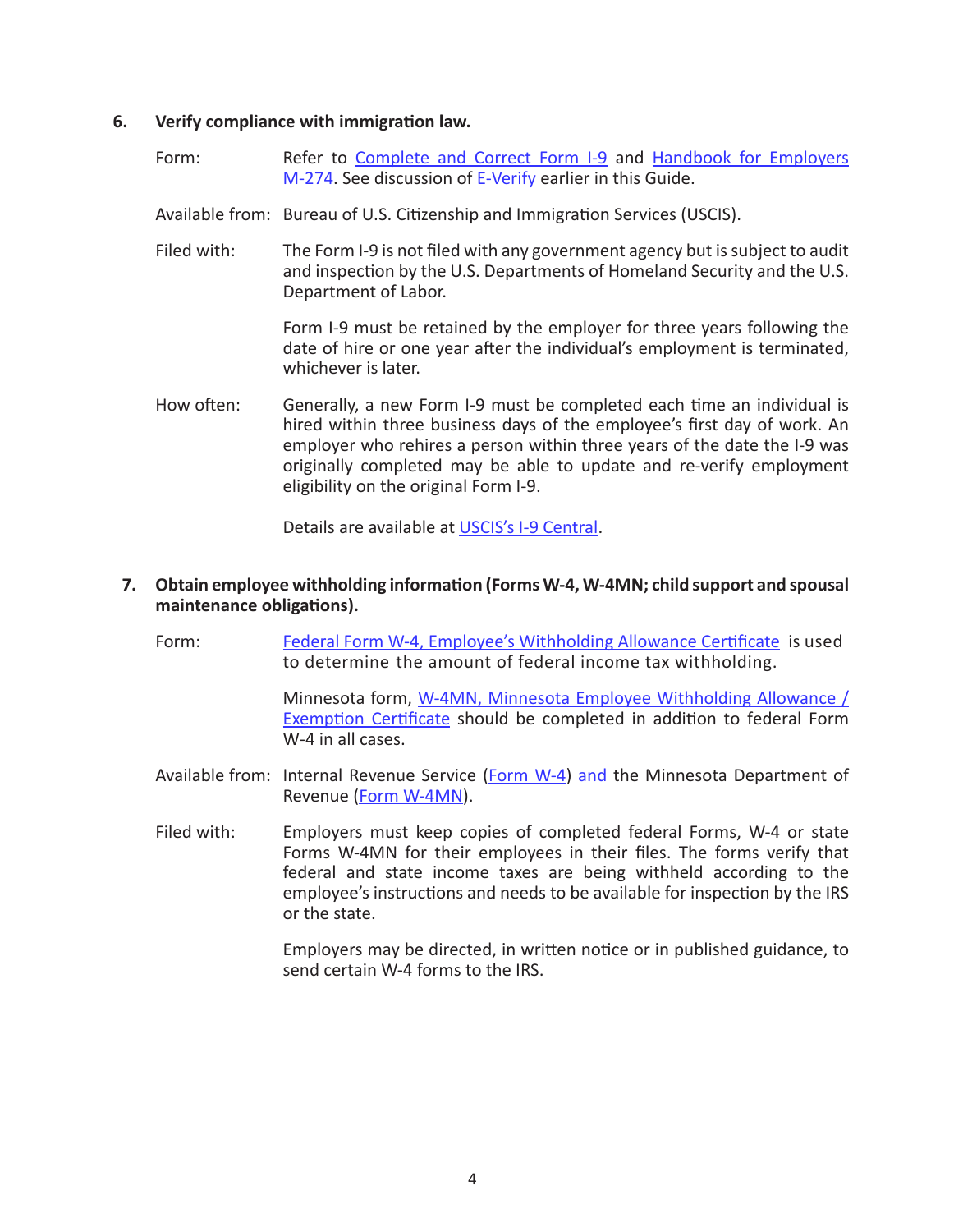#### **6. Verify compliance with immigration law.**

- Form: Refer to [Complete and Correct Form I-9](https://www.uscis.gov/i-9-central/complete-and-correct-form-i-9) and Handbook for Employers [M-274](https://www.uscis.gov/i-9-central/handbook-employers-m-274). See discussion of [E-Verify](https://www.e-verify.gov/) earlier in this Guide.
- Available from: Bureau of U.S. Citizenship and Immigration Services (USCIS).
- Filed with: The Form I-9 is not filed with any government agency but is subject to audit and inspection by the U.S. Departments of Homeland Security and the U.S. Department of Labor.

Form I-9 must be retained by the employer for three years following the date of hire or one year after the individual's employment is terminated, whichever is later.

How often: Generally, a new Form I-9 must be completed each time an individual is hired within three business days of the employee's first day of work. An employer who rehires a person within three years of the date the I-9 was originally completed may be able to update and re-verify employment eligibility on the original Form I-9.

Details are available at [USCIS's I-9 Central](https://www.uscis.gov/i-9-central).

## **7. Obtain employee withholding information (Forms W-4, W-4MN; child support and spousal maintenance obligations).**

Form: [Federal Form W-4, Employee's Withholding Allowance Certificate](https://www.irs.gov/forms-pubs/about-form-w-4) is used to determine the amount of federal income tax withholding.

> Minnesota form, [W-4MN, Minnesota Employee Withholding Allowance /](https://www.revenue.state.mn.us/sites/default/files/2021-01/w-4mn.pdf) [Exemption Certificate](https://www.revenue.state.mn.us/sites/default/files/2021-01/w-4mn.pdf) should be completed in addition to federal Form W-4 in all cases.

- Available from: Internal Revenue Service ([Form W-4\)](https://www.irs.gov/pub/irs-pdf/fw4.pdf) and the Minnesota Department of Revenue [\(Form W-4MN](https://www.revenue.state.mn.us/sites/default/files/2021-01/w-4mn.pdf)).
- Filed with: Employers must keep copies of completed federal Forms, W-4 or state Forms W-4MN for their employees in their files. The forms verify that federal and state income taxes are being withheld according to the employee's instructions and needs to be available for inspection by the IRS or the state.

Employers may be directed, in written notice or in published guidance, to send certain W-4 forms to the IRS.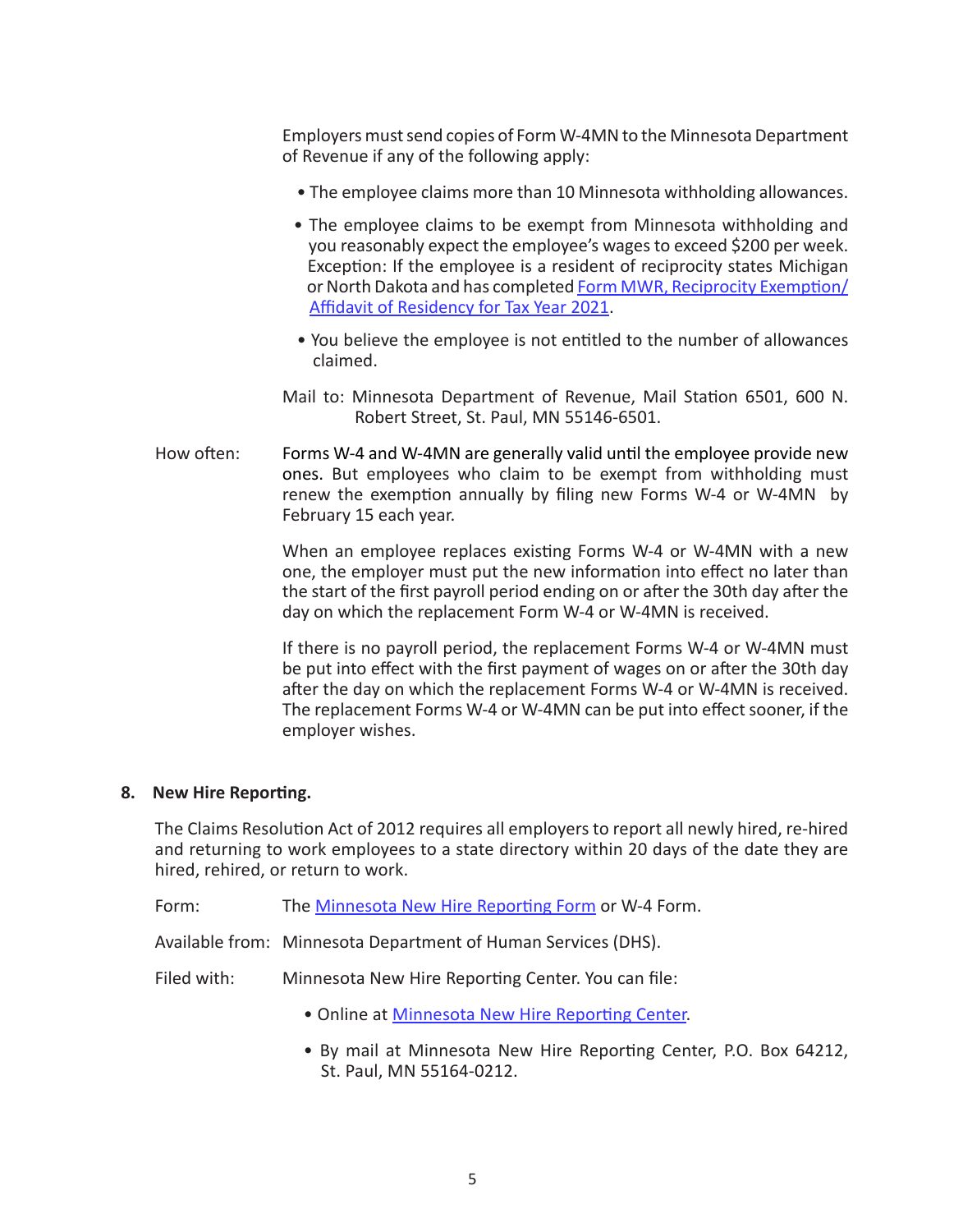Employers must send copies of Form W-4MN to the Minnesota Department of Revenue if any of the following apply:

- The employee claims more than 10 Minnesota withholding allowances.
- The employee claims to be exempt from Minnesota withholding and you reasonably expect the employee's wages to exceed \$200 per week. Exception: If the employee is a resident of reciprocity states Michigan or North Dakota and has completed [Form MWR, Reciprocity Exemption/](https://mn.gov/mmb/assets/mwr_form_tcm1059-128581.pdf) [Affidavit of Residency for Tax Year 2021](https://mn.gov/mmb/assets/mwr_form_tcm1059-128581.pdf).
- You believe the employee is not entitled to the number of allowances claimed.
- Mail to: Minnesota Department of Revenue, Mail Station 6501, 600 N. Robert Street, St. Paul, MN 55146-6501.
- How often: Forms W-4 and W-4MN are generally valid until the employee provide new ones. But employees who claim to be exempt from withholding must renew the exemption annually by filing new Forms W-4 or W-4MN by February 15 each year.

When an employee replaces existing Forms W-4 or W-4MN with a new one, the employer must put the new information into effect no later than the start of the first payroll period ending on or after the 30th day after the day on which the replacement Form W-4 or W-4MN is received.

If there is no payroll period, the replacement Forms W-4 or W-4MN must be put into effect with the first payment of wages on or after the 30th day after the day on which the replacement Forms W-4 or W-4MN is received. The replacement Forms W-4 or W-4MN can be put into effect sooner, if the employer wishes.

# **8. New Hire Reporting.**

The Claims Resolution Act of 2012 requires all employers to report all newly hired, re-hired and returning to work employees to a state directory within 20 days of the date they are hired, rehired, or return to work.

Form: The [Minnesota New Hire Reporting Form](https://newhire-reporting.com/downloads/MNform.pdf) or W-4 Form.

Available from: Minnesota Department of Human Services (DHS).

- Filed with: Minnesota New Hire Reporting Center. You can file:
	- Online at [Minnesota New Hire Reporting Center](https://newhire-reporting.com/MN-Newhire/default.aspx).
	- By mail at Minnesota New Hire Reporting Center, P.O. Box 64212, St. Paul, MN 55164-0212.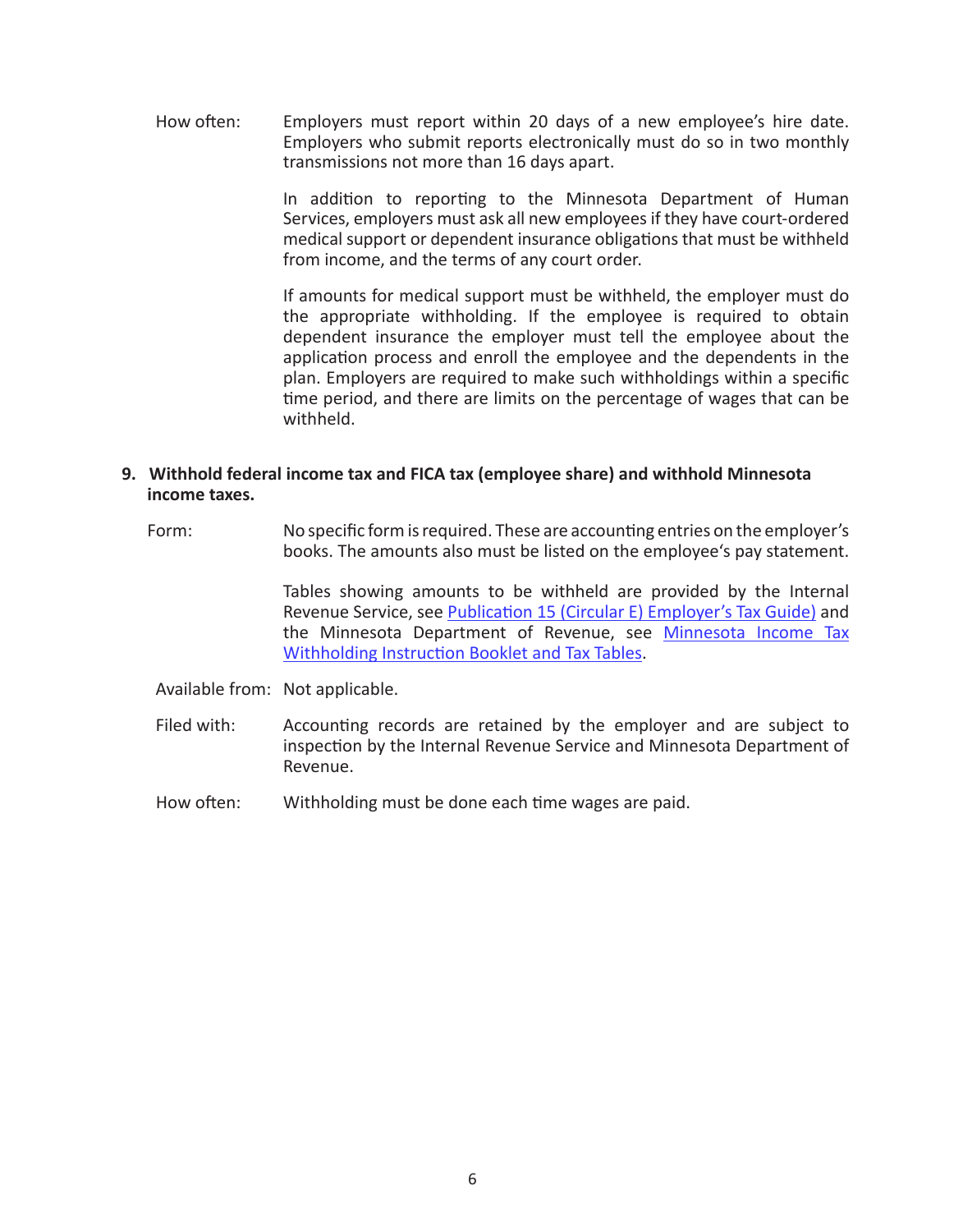How often: Employers must report within 20 days of a new employee's hire date. Employers who submit reports electronically must do so in two monthly transmissions not more than 16 days apart.

> In addition to reporting to the Minnesota Department of Human Services, employers must ask all new employees if they have court-ordered medical support or dependent insurance obligations that must be withheld from income, and the terms of any court order.

> If amounts for medical support must be withheld, the employer must do the appropriate withholding. If the employee is required to obtain dependent insurance the employer must tell the employee about the application process and enroll the employee and the dependents in the plan. Employers are required to make such withholdings within a specific time period, and there are limits on the percentage of wages that can be withheld.

## **9. Withhold federal income tax and FICA tax (employee share) and withhold Minnesota income taxes.**

 Form: No specific form is required. These are accounting entries on the employer's books. The amounts also must be listed on the employee's pay statement.

> Tables showing amounts to be withheld are provided by the Internal Revenue Service, see [Publication 15 \(Circular E\) Employer's Tax Guide\)](https://www.irs.gov/forms-pubs/about-publication-15) and the Minnesota Department of Revenue, see [Minnesota Income Tax](https://www.revenue.state.mn.us/sites/default/files/2019-12/wh_inst_20_0.pdf) [Withholding Instruction Booklet and Tax Tables](https://www.revenue.state.mn.us/sites/default/files/2019-12/wh_inst_20_0.pdf).

- Available from: Not applicable.
- Filed with: Accounting records are retained by the employer and are subject to inspection by the Internal Revenue Service and Minnesota Department of Revenue.
- How often: Withholding must be done each time wages are paid.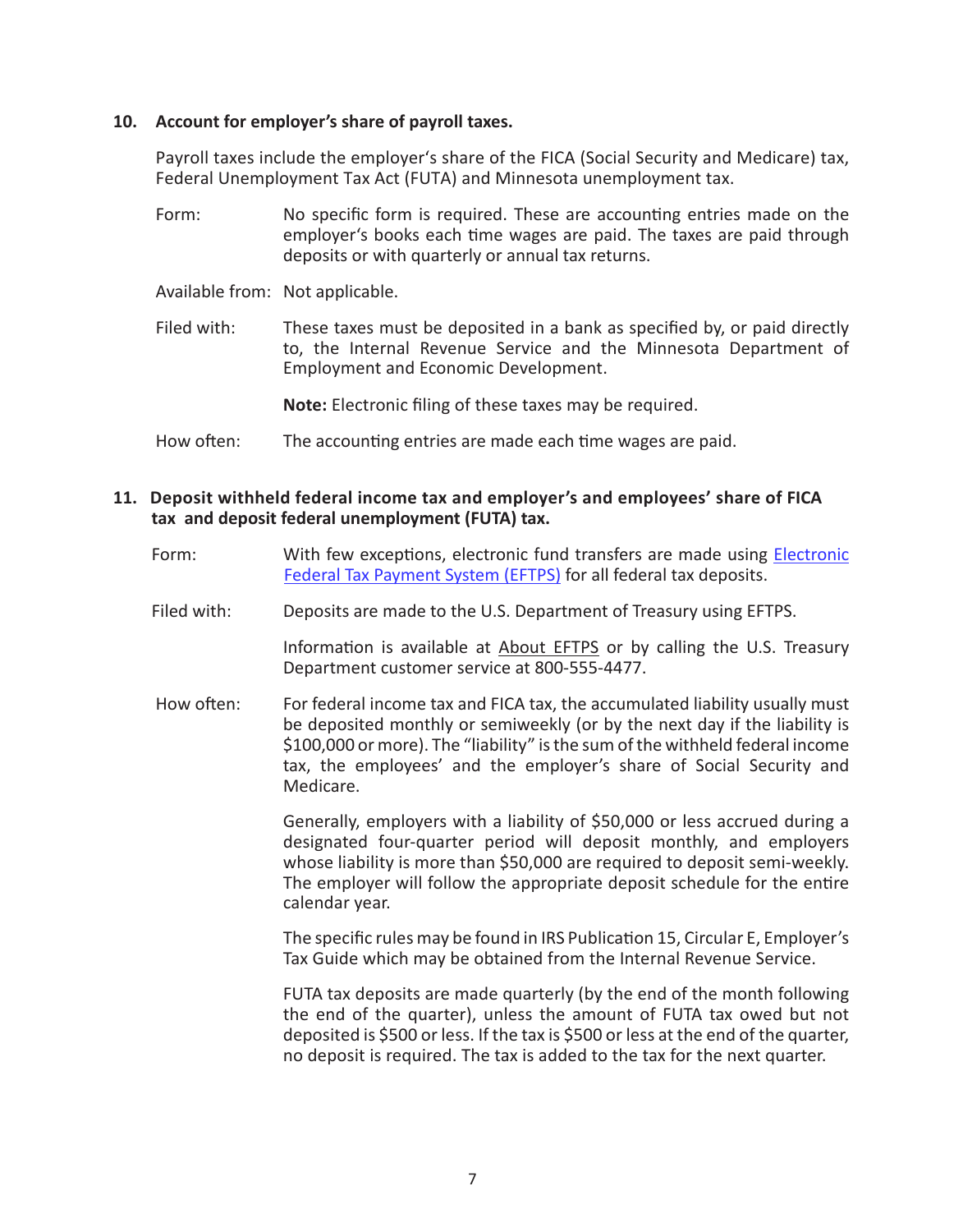### **10. Account for employer's share of payroll taxes.**

Payroll taxes include the employer's share of the FICA (Social Security and Medicare) tax, Federal Unemployment Tax Act (FUTA) and Minnesota unemployment tax.

- Form: No specific form is required. These are accounting entries made on the employer's books each time wages are paid. The taxes are paid through deposits or with quarterly or annual tax returns.
- Available from: Not applicable.
- Filed with: These taxes must be deposited in a bank as specified by, or paid directly to, the Internal Revenue Service and the Minnesota Department of Employment and Economic Development.

**Note:** Electronic filing of these taxes may be required.

How often: The accounting entries are made each time wages are paid.

## **11. Deposit withheld federal income tax and employer's and employees' share of FICA tax and deposit federal unemployment (FUTA) tax.**

- Form: With few exceptions, electronic fund transfers are made using [Electronic](https://www.eftps.com/eftps/)  [Federal Tax Payment System \(EFTPS\)](https://www.eftps.com/eftps/) for all federal tax deposits.
- Filed with: Deposits are made to the U.S. Department of Treasury using EFTPS.

Information is available at [About EFTPS](https://www.eftps.com/eftps/direct/HelpAboutMain.page) or by calling the U.S. Treasury Department customer service at 800-555-4477.

How often: For federal income tax and FICA tax, the accumulated liability usually must be deposited monthly or semiweekly (or by the next day if the liability is \$100,000 or more). The "liability" is the sum of the withheld federal income tax, the employees' and the employer's share of Social Security and Medicare.

> Generally, employers with a liability of \$50,000 or less accrued during a designated four-quarter period will deposit monthly, and employers whose liability is more than \$50,000 are required to deposit semi-weekly. The employer will follow the appropriate deposit schedule for the entire calendar year.

> The specific rules may be found in IRS Publication 15, Circular E, Employer's Tax Guide which may be obtained from the Internal Revenue Service.

> FUTA tax deposits are made quarterly (by the end of the month following the end of the quarter), unless the amount of FUTA tax owed but not deposited is \$500 or less. If the tax is \$500 or less at the end of the quarter, no deposit is required. The tax is added to the tax for the next quarter.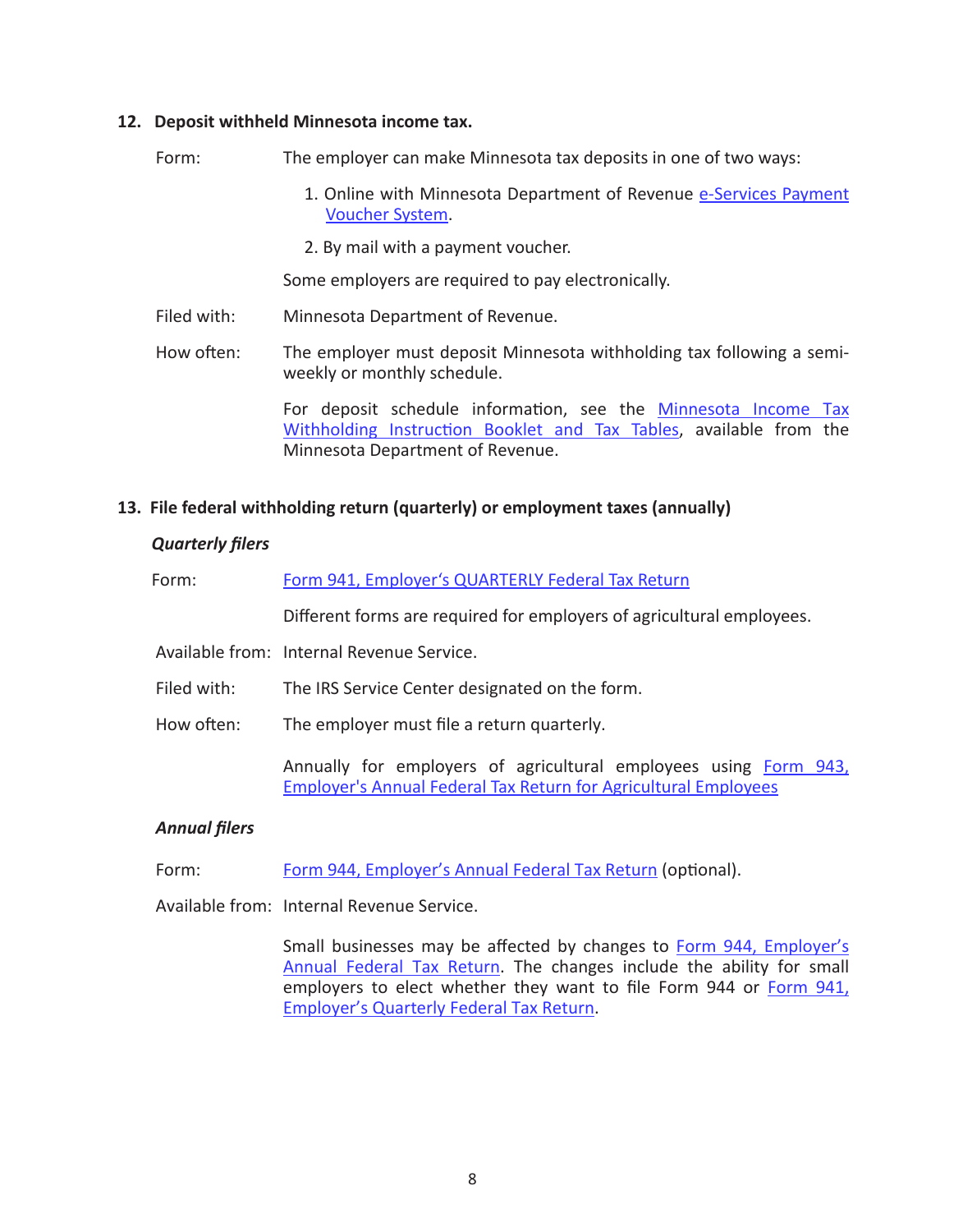#### **12. Deposit withheld Minnesota income tax.**

Form: The employer can make Minnesota tax deposits in one of two ways:

- 1. Online with Minnesota Department of Revenue [e-Services Payment](https://www.mndor.state.mn.us/tp/OnlineServices/_/) [Voucher System.](https://www.mndor.state.mn.us/tp/OnlineServices/_/)
- 2. By mail with a payment voucher.

Some employers are required to pay electronically.

- Filed with: Minnesota Department of Revenue.
- How often: The employer must deposit Minnesota withholding tax following a semiweekly or monthly schedule.

For deposit schedule information, see the Minnesota Income Tax [Withholding Instruction Booklet and Tax Tables,](https://www.revenue.state.mn.us/sites/default/files/2021-05/wh_inst_21.pdf) available from the Minnesota Department of Revenue.

# **13. File federal withholding return (quarterly) or employment taxes (annually)**

# *Quarterly filers*

| Form:       | Form 941, Employer's QUARTERLY Federal Tax Return                                                                                          |
|-------------|--------------------------------------------------------------------------------------------------------------------------------------------|
|             | Different forms are required for employers of agricultural employees.                                                                      |
|             | Available from: Internal Revenue Service.                                                                                                  |
| Filed with: | The IRS Service Center designated on the form.                                                                                             |
| How often:  | The employer must file a return quarterly.                                                                                                 |
|             | Annually for employers of agricultural employees using Form 943,<br><b>Employer's Annual Federal Tax Return for Agricultural Employees</b> |

# *Annual filers*

Form: [Form 944, Employer's Annual Federal Tax Return](https://www.irs.gov/forms-pubs/about-form-944) (optional).

Available from: Internal Revenue Service.

Small businesses may be affected by changes to [Form 944, Employer's](https://www.irs.gov/forms-pubs/about-form-944) [Annual Federal Tax Return.](https://www.irs.gov/forms-pubs/about-form-944) The changes include the ability for small employers to elect whether they want to file Form 944 or [Form 941,](https://www.irs.gov/pub/irs-pdf/f941.pdf) [Employer's Quarterly Federal Tax Return](https://www.irs.gov/pub/irs-pdf/f941.pdf).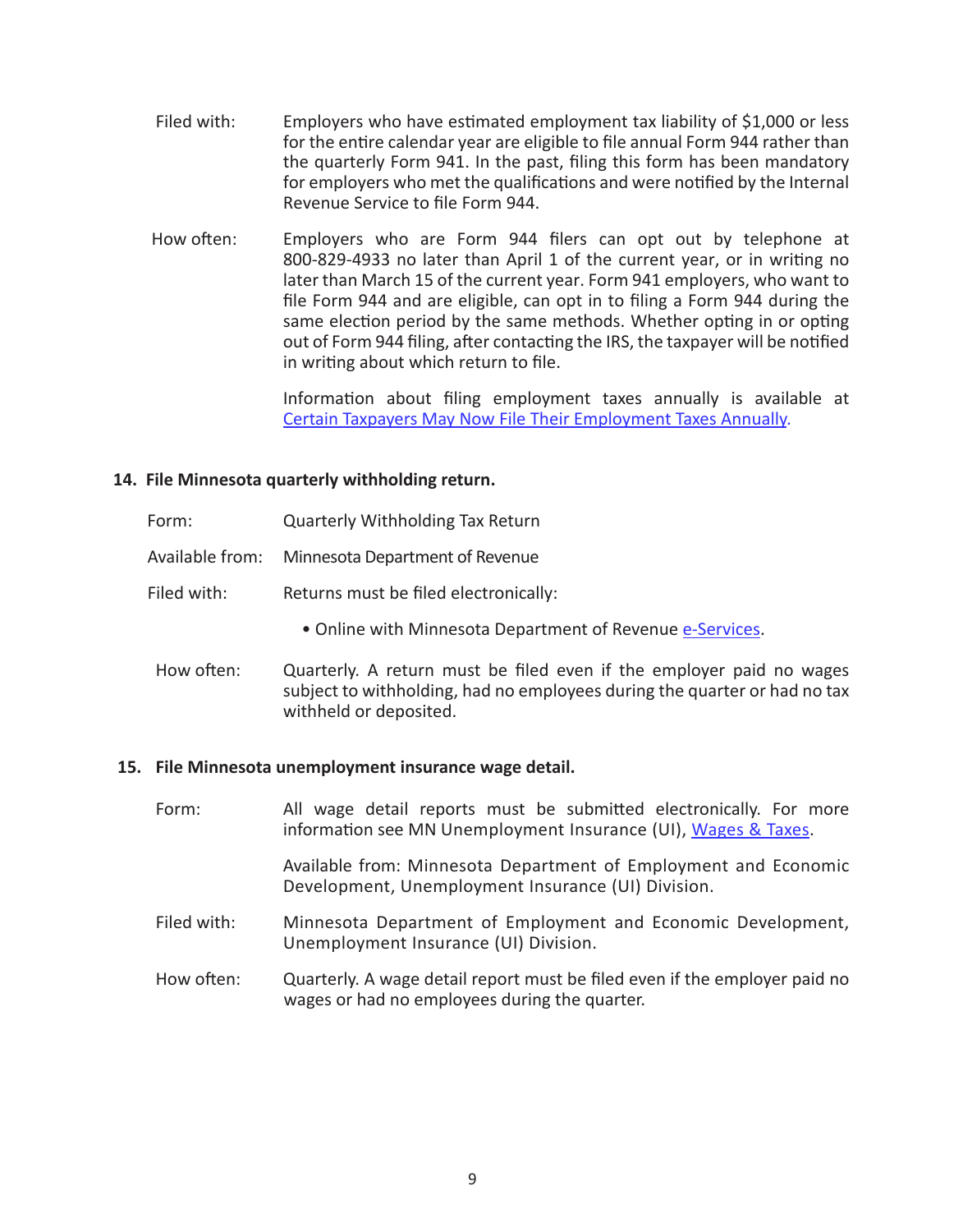- Filed with: Employers who have estimated employment tax liability of \$1,000 or less for the entire calendar year are eligible to file annual Form 944 rather than the quarterly Form 941. In the past, filing this form has been mandatory for employers who met the qualifications and were notified by the Internal Revenue Service to file Form 944.
- How often: Employers who are Form 944 filers can opt out by telephone at 800-829-4933 no later than April 1 of the current year, or in writing no later than March 15 of the current year. Form 941 employers, who want to file Form 944 and are eligible, can opt in to filing a Form 944 during the same election period by the same methods. Whether opting in or opting out of Form 944 filing, after contacting the IRS, the taxpayer will be notified in writing about which return to file.

Information about filing employment taxes annually is available at [Certain Taxpayers May Now File Their Employment Taxes Annually.](https://www.irs.gov/businesses/small-businesses-self-employed/certain-taxpayers-may-now-file-their-employment-taxes-annually)

# **14. File Minnesota quarterly withholding return.**

- Form: Quarterly Withholding Tax Return
- Available from: Minnesota Department of Revenue
- Filed with: Returns must be filed electronically:
	- Online with Minnesota Department of Revenue [e-Services](https://www.mndor.state.mn.us/tp/eservices/_/).
- How often: Quarterly. A return must be filed even if the employer paid no wages subject to withholding, had no employees during the quarter or had no tax withheld or deposited.

#### **15. File Minnesota unemployment insurance wage detail.**

- Form: All wage detail reports must be submitted electronically. For more information see MN Unemployment Insurance (UI), [Wages & Taxes.](https://www.uimn.org/employers/wages-taxes/index.jsp) Available from: Minnesota Department of Employment and Economic Development, Unemployment Insurance (UI) Division. Filed with: Minnesota Department of Employment and Economic Development, Unemployment Insurance (UI) Division.
- How often: Quarterly. A wage detail report must be filed even if the employer paid no wages or had no employees during the quarter.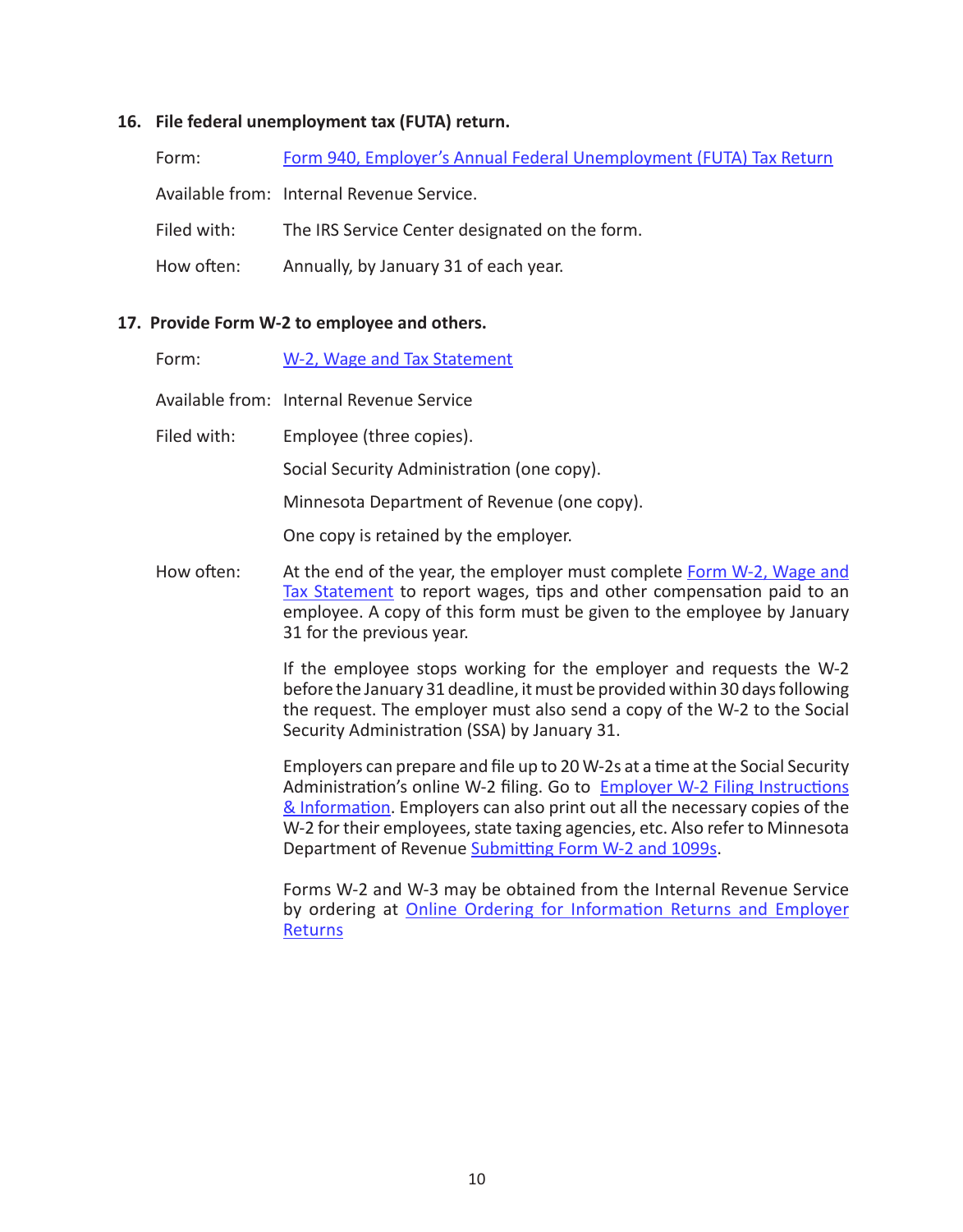# **16. File federal unemployment tax (FUTA) return.**

| Form:       | Form 940, Employer's Annual Federal Unemployment (FUTA) Tax Return |
|-------------|--------------------------------------------------------------------|
|             | Available from: Internal Revenue Service.                          |
| Filed with: | The IRS Service Center designated on the form.                     |
| How often:  | Annually, by January 31 of each year.                              |

# **17. Provide Form W-2 to employee and others.**

| Form:       | W-2, Wage and Tax Statement                                                                                                                                                                                                                                                                                                                                                        |
|-------------|------------------------------------------------------------------------------------------------------------------------------------------------------------------------------------------------------------------------------------------------------------------------------------------------------------------------------------------------------------------------------------|
|             | Available from: Internal Revenue Service                                                                                                                                                                                                                                                                                                                                           |
| Filed with: | Employee (three copies).                                                                                                                                                                                                                                                                                                                                                           |
|             | Social Security Administration (one copy).                                                                                                                                                                                                                                                                                                                                         |
|             | Minnesota Department of Revenue (one copy).                                                                                                                                                                                                                                                                                                                                        |
|             | One copy is retained by the employer.                                                                                                                                                                                                                                                                                                                                              |
| How often:  | At the end of the year, the employer must complete Form W-2, Wage and<br>Tax Statement to report wages, tips and other compensation paid to an<br>employee. A copy of this form must be given to the employee by January<br>31 for the previous year.                                                                                                                              |
|             | If the employee stops working for the employer and requests the W-2<br>before the January 31 deadline, it must be provided within 30 days following<br>the request. The employer must also send a copy of the W-2 to the Social<br>Security Administration (SSA) by January 31.                                                                                                    |
|             | Employers can prepare and file up to 20 W-2s at a time at the Social Security<br>Administration's online W-2 filing. Go to Employer W-2 Filing Instructions<br>& Information. Employers can also print out all the necessary copies of the<br>W-2 for their employees, state taxing agencies, etc. Also refer to Minnesota<br>Department of Revenue Submitting Form W-2 and 1099s. |

Forms W-2 and W-3 may be obtained from the Internal Revenue Service by ordering at **Online Ordering for Information Returns and Employer [Returns](https://www.irs.gov/businesses/online-ordering-for-information-returns-and-employer-returns)**